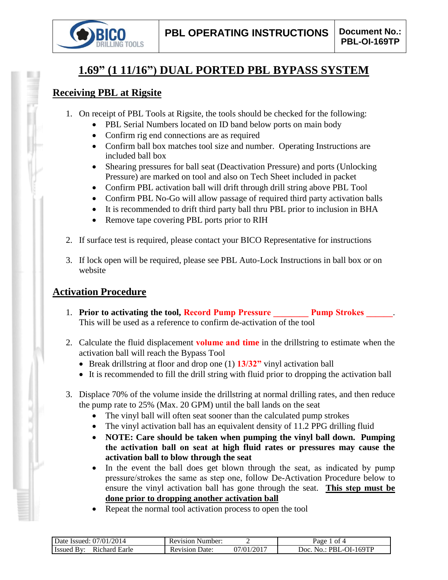

# **1.69" (1 11/16") DUAL PORTED PBL BYPASS SYSTEM**

## **Receiving PBL at Rigsite**

- 1. On receipt of PBL Tools at Rigsite, the tools should be checked for the following:
	- PBL Serial Numbers located on ID band below ports on main body
	- Confirm rig end connections are as required
	- Confirm ball box matches tool size and number. Operating Instructions are included ball box
	- Shearing pressures for ball seat (Deactivation Pressure) and ports (Unlocking Pressure) are marked on tool and also on Tech Sheet included in packet
	- Confirm PBL activation ball will drift through drill string above PBL Tool
	- Confirm PBL No-Go will allow passage of required third party activation balls
	- It is recommended to drift third party ball thru PBL prior to inclusion in BHA
	- Remove tape covering PBL ports prior to RIH
- 2. If surface test is required, please contact your BICO Representative for instructions
- 3. If lock open will be required, please see PBL Auto-Lock Instructions in ball box or on website

# **Activation Procedure**

- 1. **Prior to activating the tool, Record Pump Pressure Pump Strokes** 2. This will be used as a reference to confirm de-activation of the tool
- 2. Calculate the fluid displacement **volume and time** in the drillstring to estimate when the activation ball will reach the Bypass Tool
	- Break drillstring at floor and drop one (1) **13/32"** vinyl activation ball
	- It is recommended to fill the drill string with fluid prior to dropping the activation ball
- 3. Displace 70% of the volume inside the drillstring at normal drilling rates, and then reduce the pump rate to 25% (Max. 20 GPM) until the ball lands on the seat
	- The vinyl ball will often seat sooner than the calculated pump strokes
	- The vinyl activation ball has an equivalent density of 11.2 PPG drilling fluid
	- **NOTE: Care should be taken when pumping the vinyl ball down. Pumping the activation ball on seat at high fluid rates or pressures may cause the activation ball to blow through the seat**
	- In the event the ball does get blown through the seat, as indicated by pump pressure/strokes the same as step one, follow De-Activation Procedure below to ensure the vinyl activation ball has gone through the seat. **This step must be done prior to dropping another activation ball**
	- Repeat the normal tool activation process to open the tool

| /2014<br>07/01/<br>Date<br>ssued:      | Number:<br>Revision      |              | ΩŤ<br>Ряσе                           |
|----------------------------------------|--------------------------|--------------|--------------------------------------|
| <b>Earle</b><br>∵charu<br><b>Issue</b> | Jate:<br>evision)<br>K۱. | /2017<br>ר∩י | 169TP<br>JOC<br>,,,,<br>$\mathbf{N}$ |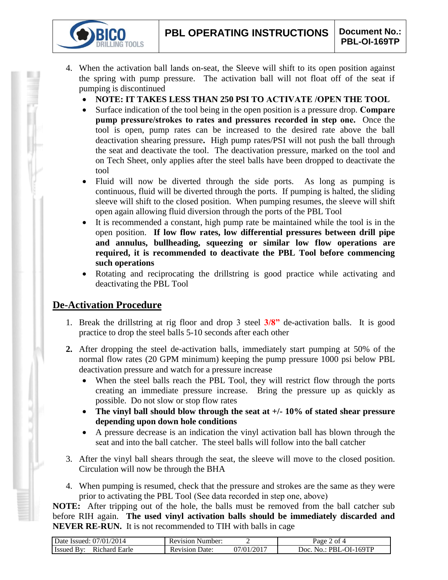- 4. When the activation ball lands on-seat, the Sleeve will shift to its open position against the spring with pump pressure. The activation ball will not float off of the seat if pumping is discontinued
	- **NOTE: IT TAKES LESS THAN 250 PSI TO ACTIVATE /OPEN THE TOOL**
	- Surface indication of the tool being in the open position is a pressure drop. **Compare pump pressure/strokes to rates and pressures recorded in step one.** Once the tool is open, pump rates can be increased to the desired rate above the ball deactivation shearing pressure**.** High pump rates/PSI will not push the ball through the seat and deactivate the tool. The deactivation pressure, marked on the tool and on Tech Sheet, only applies after the steel balls have been dropped to deactivate the tool
	- Fluid will now be diverted through the side ports. As long as pumping is continuous, fluid will be diverted through the ports. If pumping is halted, the sliding sleeve will shift to the closed position. When pumping resumes, the sleeve will shift open again allowing fluid diversion through the ports of the PBL Tool
	- It is recommended a constant, high pump rate be maintained while the tool is in the open position. **If low flow rates, low differential pressures between drill pipe and annulus, bullheading, squeezing or similar low flow operations are required, it is recommended to deactivate the PBL Tool before commencing such operations**
	- Rotating and reciprocating the drillstring is good practice while activating and deactivating the PBL Tool

### **De-Activation Procedure**

**TOOLS** 

- 1. Break the drillstring at rig floor and drop 3 steel **3/8"** de-activation balls. It is good practice to drop the steel balls 5-10 seconds after each other
- **2.** After dropping the steel de-activation balls, immediately start pumping at 50% of the normal flow rates (20 GPM minimum) keeping the pump pressure 1000 psi below PBL deactivation pressure and watch for a pressure increase
	- When the steel balls reach the PBL Tool, they will restrict flow through the ports creating an immediate pressure increase. Bring the pressure up as quickly as possible. Do not slow or stop flow rates
	- **The vinyl ball should blow through the seat at +/- 10% of stated shear pressure depending upon down hole conditions**
	- A pressure decrease is an indication the vinyl activation ball has blown through the seat and into the ball catcher. The steel balls will follow into the ball catcher
- 3. After the vinyl ball shears through the seat, the sleeve will move to the closed position. Circulation will now be through the BHA
- 4. When pumping is resumed, check that the pressure and strokes are the same as they were prior to activating the PBL Tool (See data recorded in step one, above)

**NOTE:** After tripping out of the hole, the balls must be removed from the ball catcher sub before RIH again. **The used vinyl activation balls should be immediately discarded and NEVER RE-RUN.** It is not recommended to TIH with balls in cage

| Date Issued: 07/01/2014            | <b>Revision Number:</b> |           | Page<br>ot 4                   |
|------------------------------------|-------------------------|-----------|--------------------------------|
| <b>Issued By:</b><br>Richard Earle | Date:<br>Revision       | 1/01/2017 | ∟-OI-169TP<br>No · PRL<br>Joc. |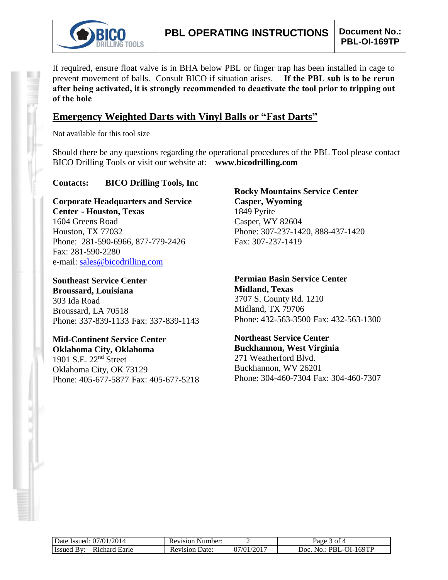

If required, ensure float valve is in BHA below PBL or finger trap has been installed in cage to prevent movement of balls. Consult BICO if situation arises. **If the PBL sub is to be rerun after being activated, it is strongly recommended to deactivate the tool prior to tripping out of the hole**

### **Emergency Weighted Darts with Vinyl Balls or "Fast Darts"**

Not available for this tool size

Should there be any questions regarding the operational procedures of the PBL Tool please contact BICO Drilling Tools or visit our website at: **www.bicodrilling.com**

#### **Contacts: BICO Drilling Tools, Inc**

**Corporate Headquarters and Service Center - Houston, Texas** 1604 Greens Road Houston, TX 77032 Phone: 281-590-6966, 877-779-2426 Fax: 281-590-2280 e-mail: [sales@bicodrilling.com](mailto:sales@bicodrilling.com)

**Southeast Service Center Broussard, Louisiana** 303 Ida Road Broussard, LA 70518 Phone: 337-839-1133 Fax: 337-839-1143

**Mid-Continent Service Center Oklahoma City, Oklahoma** 1901 S.E. 22nd Street Oklahoma City, OK 73129 Phone: 405-677-5877 Fax: 405-677-5218

**Rocky Mountains Service Center Casper, Wyoming** 1849 Pyrite Casper, WY 82604 Phone: 307-237-1420, 888-437-1420 Fax: 307-237-1419

**Permian Basin Service Center Midland, Texas** 3707 S. County Rd. 1210 Midland, TX 79706 Phone: 432-563-3500 Fax: 432-563-1300

**Northeast Service Center Buckhannon, West Virginia** 271 Weatherford Blvd. Buckhannon, WV 26201 Phone: 304-460-7304 Fax: 304-460-7307

| Date Issued: 07/01/2014     | <b>Revision Number:</b> |            | Page 3 of 4                     |
|-----------------------------|-------------------------|------------|---------------------------------|
| Issued By:<br>Richard Earle | <b>Revision Date:</b>   | 07/01/2017 | $No.: PBL-OI-169TP$<br>$"$ Doc. |